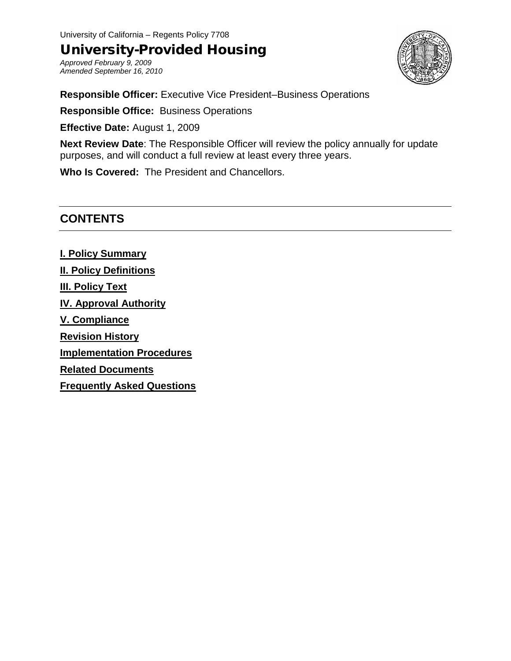University of California – Regents Policy 7708

## University-Provided Housing

*Approved February 9, 2009 Amended September 16, 2010*



**Responsible Officer:** Executive Vice President–Business Operations

**Responsible Office:** Business Operations

**Effective Date:** August 1, 2009

**Next Review Date**: The Responsible Officer will review the policy annually for update purposes, and will conduct a full review at least every three years.

**Who Is Covered:** The President and Chancellors.

## **CONTENTS**

**I. Policy Summary II. Policy Definitions III. Policy Text IV. Approval Authority V. Compliance Revision History Implementation Procedures Related Documents Frequently Asked Questions**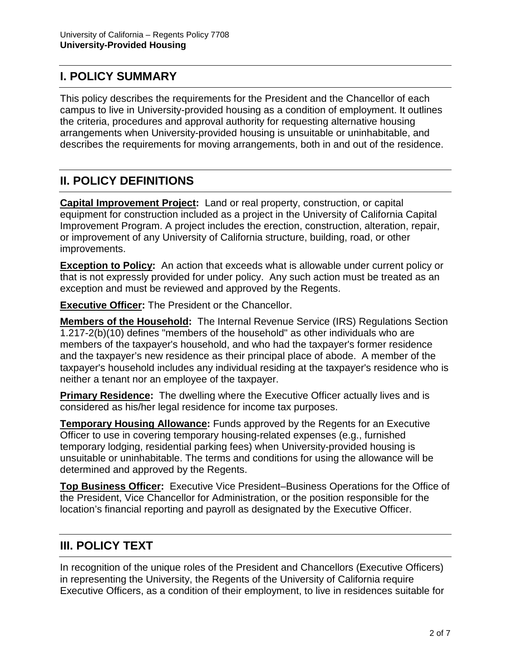## **I. POLICY SUMMARY**

This policy describes the requirements for the President and the Chancellor of each campus to live in University-provided housing as a condition of employment. It outlines the criteria, procedures and approval authority for requesting alternative housing arrangements when University-provided housing is unsuitable or uninhabitable, and describes the requirements for moving arrangements, both in and out of the residence.

# **II. POLICY DEFINITIONS**

**Capital Improvement Project:** Land or real property, construction, or capital equipment for construction included as a project in the University of California Capital Improvement Program. A project includes the erection, construction, alteration, repair, or improvement of any University of California structure, building, road, or other improvements.

**Exception to Policy:** An action that exceeds what is allowable under current policy or that is not expressly provided for under policy. Any such action must be treated as an exception and must be reviewed and approved by the Regents.

**Executive Officer:** The President or the Chancellor.

**Members of the Household:** The Internal Revenue Service (IRS) Regulations Section 1.217-2(b)(10) defines "members of the household" as other individuals who are members of the taxpayer's household, and who had the taxpayer's former residence and the taxpayer's new residence as their principal place of abode. A member of the taxpayer's household includes any individual residing at the taxpayer's residence who is neither a tenant nor an employee of the taxpayer.

**Primary Residence:** The dwelling where the Executive Officer actually lives and is considered as his/her legal residence for income tax purposes.

**Temporary Housing Allowance:** Funds approved by the Regents for an Executive Officer to use in covering temporary housing-related expenses (e.g., furnished temporary lodging, residential parking fees) when University-provided housing is unsuitable or uninhabitable. The terms and conditions for using the allowance will be determined and approved by the Regents.

**Top Business Officer:** Executive Vice President–Business Operations for the Office of the President, Vice Chancellor for Administration, or the position responsible for the location's financial reporting and payroll as designated by the Executive Officer.

## **III. POLICY TEXT**

In recognition of the unique roles of the President and Chancellors (Executive Officers) in representing the University, the Regents of the University of California require Executive Officers, as a condition of their employment, to live in residences suitable for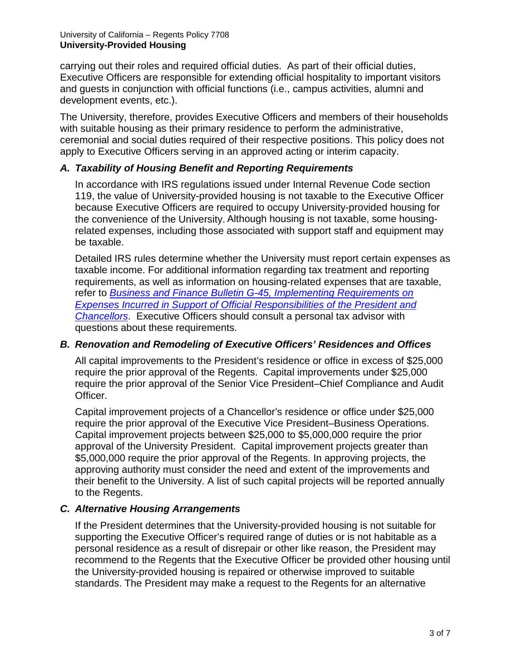carrying out their roles and required official duties. As part of their official duties, Executive Officers are responsible for extending official hospitality to important visitors and guests in conjunction with official functions (i.e., campus activities, alumni and development events, etc.).

The University, therefore, provides Executive Officers and members of their households with suitable housing as their primary residence to perform the administrative, ceremonial and social duties required of their respective positions. This policy does not apply to Executive Officers serving in an approved acting or interim capacity.

### *A. Taxability of Housing Benefit and Reporting Requirements*

In accordance with IRS regulations issued under Internal Revenue Code section 119, the value of University-provided housing is not taxable to the Executive Officer because Executive Officers are required to occupy University-provided housing for the convenience of the University. Although housing is not taxable, some housingrelated expenses, including those associated with support staff and equipment may be taxable.

Detailed IRS rules determine whether the University must report certain expenses as taxable income. For additional information regarding tax treatment and reporting requirements, as well as information on housing-related expenses that are taxable, refer to *[Business and Finance Bulletin G-45, Implementing Requirements on](http://policy.ucop.edu/doc/3420356)  [Expenses Incurred in Support of Official Responsibilities of the President and](http://policy.ucop.edu/doc/3420356)  [Chancellors](http://policy.ucop.edu/doc/3420356)*. Executive Officers should consult a personal tax advisor with questions about these requirements.

### *B. Renovation and Remodeling of Executive Officers' Residences and Offices*

All capital improvements to the President's residence or office in excess of \$25,000 require the prior approval of the Regents. Capital improvements under \$25,000 require the prior approval of the Senior Vice President–Chief Compliance and Audit Officer.

Capital improvement projects of a Chancellor's residence or office under \$25,000 require the prior approval of the Executive Vice President–Business Operations. Capital improvement projects between \$25,000 to \$5,000,000 require the prior approval of the University President. Capital improvement projects greater than \$5,000,000 require the prior approval of the Regents. In approving projects, the approving authority must consider the need and extent of the improvements and their benefit to the University. A list of such capital projects will be reported annually to the Regents.

### *C. Alternative Housing Arrangements*

If the President determines that the University-provided housing is not suitable for supporting the Executive Officer's required range of duties or is not habitable as a personal residence as a result of disrepair or other like reason, the President may recommend to the Regents that the Executive Officer be provided other housing until the University-provided housing is repaired or otherwise improved to suitable standards. The President may make a request to the Regents for an alternative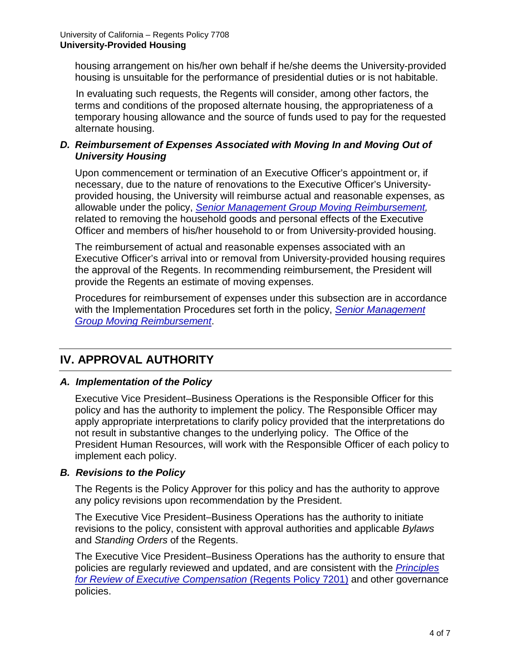housing arrangement on his/her own behalf if he/she deems the University-provided housing is unsuitable for the performance of presidential duties or is not habitable.

In evaluating such requests, the Regents will consider, among other factors, the terms and conditions of the proposed alternate housing, the appropriateness of a temporary housing allowance and the source of funds used to pay for the requested alternate housing.

### *D. Reimbursement of Expenses Associated with Moving In and Moving Out of University Housing*

Upon commencement or termination of an Executive Officer's appointment or, if necessary, due to the nature of renovations to the Executive Officer's Universityprovided housing, the University will reimburse actual and reasonable expenses, as allowable under the policy, *[Senior Management Group](http://policy.ucop.edu/_files/smg-docs/smg_move_reimburse.pdf) Moving Reimbursement,* related to removing the household goods and personal effects of the Executive Officer and members of his/her household to or from University-provided housing.

The reimbursement of actual and reasonable expenses associated with an Executive Officer's arrival into or removal from University-provided housing requires the approval of the Regents. In recommending reimbursement, the President will provide the Regents an estimate of moving expenses.

Procedures for reimbursement of expenses under this subsection are in accordance with the Implementation Procedures set forth in the policy, *[Senior Management](http://policy.ucop.edu/_files/smg-docs/smg_move_reimburse.pdf)  Group [Moving Reimbursement](http://policy.ucop.edu/_files/smg-docs/smg_move_reimburse.pdf)*.

# **IV. APPROVAL AUTHORITY**

### *A. Implementation of the Policy*

Executive Vice President–Business Operations is the Responsible Officer for this policy and has the authority to implement the policy. The Responsible Officer may apply appropriate interpretations to clarify policy provided that the interpretations do not result in substantive changes to the underlying policy. The Office of the President Human Resources, will work with the Responsible Officer of each policy to implement each policy.

### *B. Revisions to the Policy*

The Regents is the Policy Approver for this policy and has the authority to approve any policy revisions upon recommendation by the President.

The Executive Vice President–Business Operations has the authority to initiate revisions to the policy, consistent with approval authorities and applicable *Bylaws* and *Standing Orders* of the Regents.

The Executive Vice President–Business Operations has the authority to ensure that policies are regularly reviewed and updated, and are consistent with the *[Principles](http://regents.universityofcalifornia.edu/policies/7201.html)  [for Review of Executive Compensation](http://regents.universityofcalifornia.edu/policies/7201.html)* (Regents Policy 7201) and other governance policies.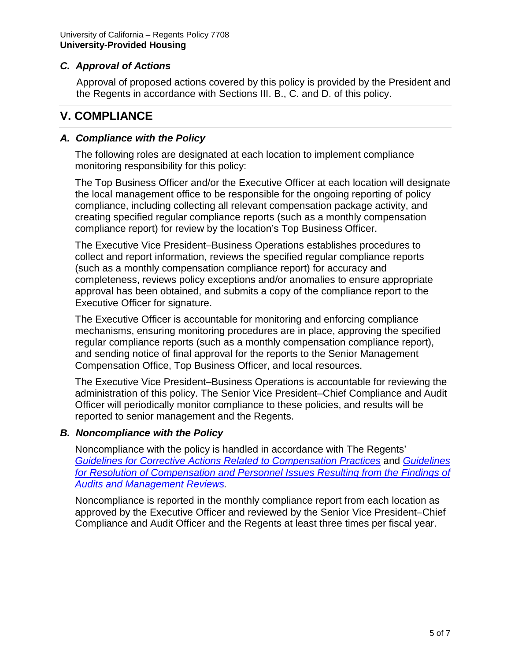### *C. Approval of Actions*

Approval of proposed actions covered by this policy is provided by the President and the Regents in accordance with Sections III. B., C. and D. of this policy.

## **V. COMPLIANCE**

### *A. Compliance with the Policy*

The following roles are designated at each location to implement compliance monitoring responsibility for this policy:

The Top Business Officer and/or the Executive Officer at each location will designate the local management office to be responsible for the ongoing reporting of policy compliance, including collecting all relevant compensation package activity, and creating specified regular compliance reports (such as a monthly compensation compliance report) for review by the location's Top Business Officer.

The Executive Vice President–Business Operations establishes procedures to collect and report information, reviews the specified regular compliance reports (such as a monthly compensation compliance report) for accuracy and completeness, reviews policy exceptions and/or anomalies to ensure appropriate approval has been obtained, and submits a copy of the compliance report to the Executive Officer for signature.

The Executive Officer is accountable for monitoring and enforcing compliance mechanisms, ensuring monitoring procedures are in place, approving the specified regular compliance reports (such as a monthly compensation compliance report), and sending notice of final approval for the reports to the Senior Management Compensation Office, Top Business Officer, and local resources.

The Executive Vice President–Business Operations is accountable for reviewing the administration of this policy. The Senior Vice President–Chief Compliance and Audit Officer will periodically monitor compliance to these policies, and results will be reported to senior management and the Regents.

### *B. Noncompliance with the Policy*

Noncompliance with the policy is handled in accordance with The Regents' *[Guidelines for Corrective Actions Related to Compensation Practices](http://regents.universityofcalifornia.edu/regmeet/nov06/1cattach1.pdf)* and *[Guidelines](http://policy.ucop.edu/_files/smg-docs/resolution_guidlines.pdf)  for Resolution of Compensation and [Personnel Issues Resulting from the Findings of](http://policy.ucop.edu/_files/smg-docs/resolution_guidlines.pdf)  [Audits and Management Reviews.](http://policy.ucop.edu/_files/smg-docs/resolution_guidlines.pdf)*

Noncompliance is reported in the monthly compliance report from each location as approved by the Executive Officer and reviewed by the Senior Vice President–Chief Compliance and Audit Officer and the Regents at least three times per fiscal year.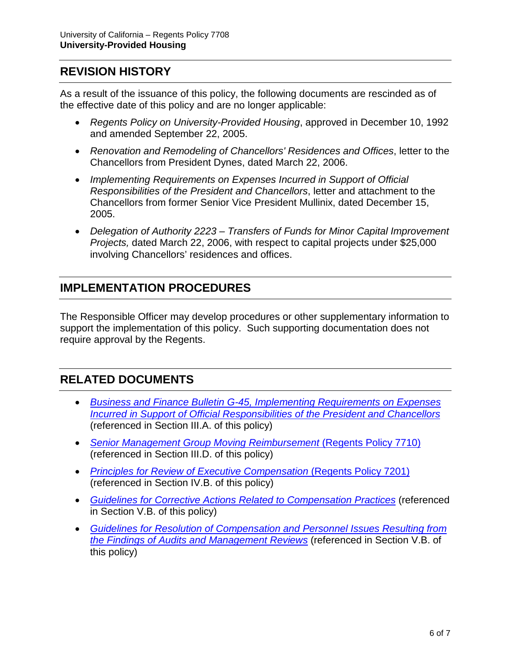## **REVISION HISTORY**

As a result of the issuance of this policy, the following documents are rescinded as of the effective date of this policy and are no longer applicable:

- *Regents Policy on University-Provided Housing*, approved in December 10, 1992 and amended September 22, 2005.
- *Renovation and Remodeling of Chancellors' Residences and Offices*, letter to the Chancellors from President Dynes, dated March 22, 2006.
- *Implementing Requirements on Expenses Incurred in Support of Official Responsibilities of the President and Chancellors*, letter and attachment to the Chancellors from former Senior Vice President Mullinix, dated December 15, 2005.
- *Delegation of Authority 2223 – Transfers of Funds for Minor Capital Improvement Projects,* dated March 22, 2006, with respect to capital projects under \$25,000 involving Chancellors' residences and offices.

# **IMPLEMENTATION PROCEDURES**

The Responsible Officer may develop procedures or other supplementary information to support the implementation of this policy. Such supporting documentation does not require approval by the Regents.

## **RELATED DOCUMENTS**

- *Business and Finance Bulletin G-45, [Implementing Requirements on Expenses](http://policy.ucop.edu/doc/3420356)  [Incurred in Support of Official Responsibilities of the President and Chancellors](http://policy.ucop.edu/doc/3420356)* (referenced in Section III.A. of this policy)
- *[Senior Management Group](http://policy.ucop.edu/_files/smg-docs/smg_move_reimburse.pdf) Moving Reimbursement* (Regents Policy 7710) (referenced in Section III.D. of this policy)
- *[Principles for Review of Executive Compensation](http://regents.universityofcalifornia.edu/policies/7201.html) (Regents Policy 7201)* (referenced in Section IV.B. of this policy)
- *[Guidelines for Corrective Actions Related to Compensation Practices](http://regents.universityofcalifornia.edu/regmeet/nov06/1cattach1.pdf)* (referenced in Section V.B. of this policy)
- *[Guidelines for Resolution of Compensation and Personnel Issues Resulting from](http://policy.ucop.edu/_files/smg-docs/resolution_guidlines.pdf)  [the Findings of Audits and Management Reviews](http://policy.ucop.edu/_files/smg-docs/resolution_guidlines.pdf)* (referenced in Section V.B. of this policy)